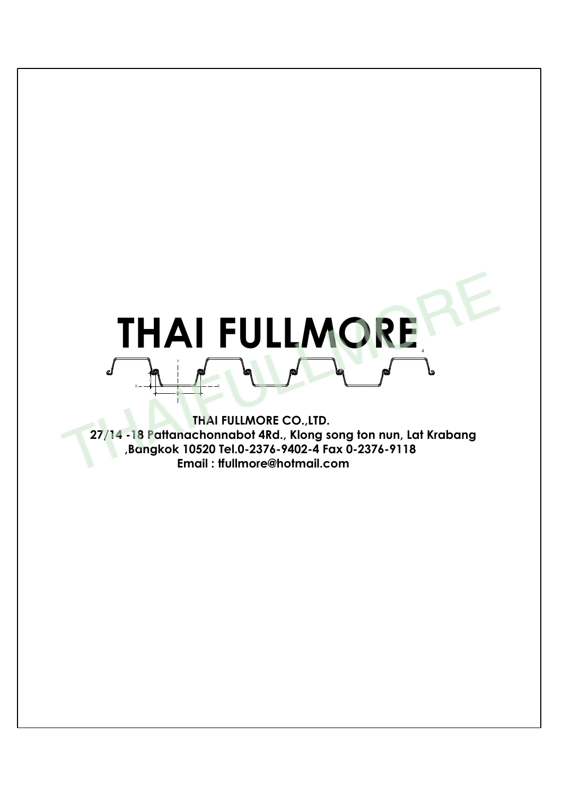# THAI FULLMORE  $x - 1$   $\longrightarrow$   $\longrightarrow$   $\longrightarrow$   $\longrightarrow$ Y

 $\longrightarrow$ 

**THAI FULLMORE CO.,LTD. 27/14 -18 Pattanachonnabot 4Rd., Klong song ton nun, Lat Krabang ,Bangkok 10520 Tel.0-2376-9402-4 Fax 0-2376-9118 Email : tfullmore@hotmail.com**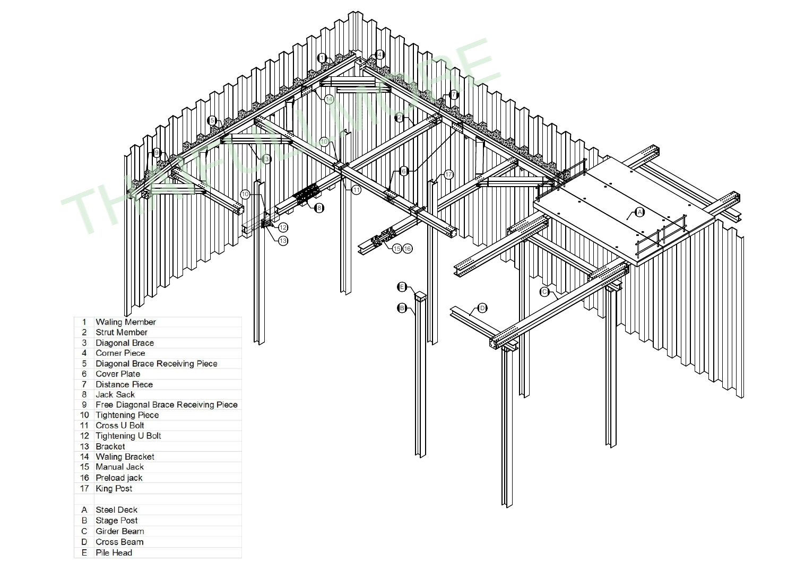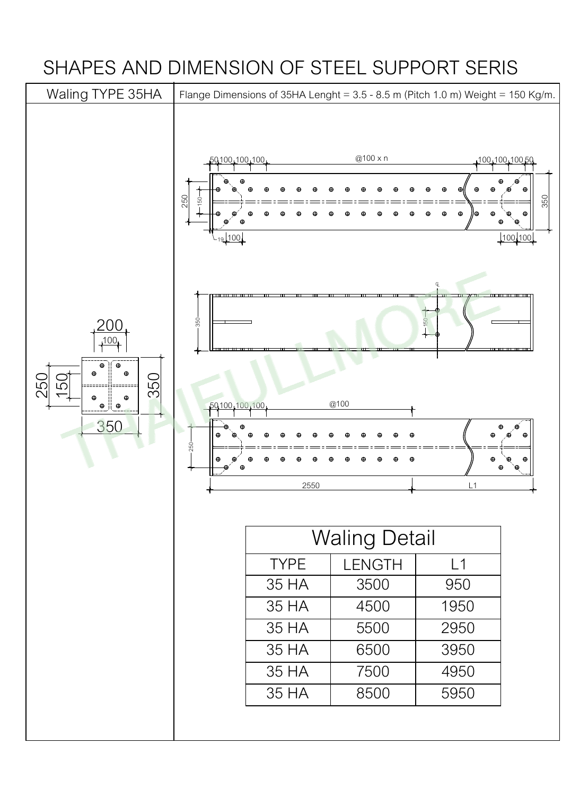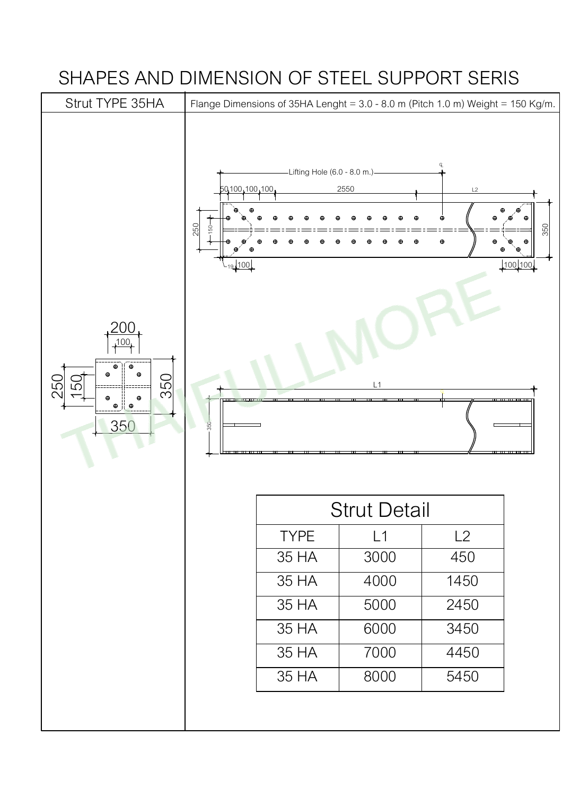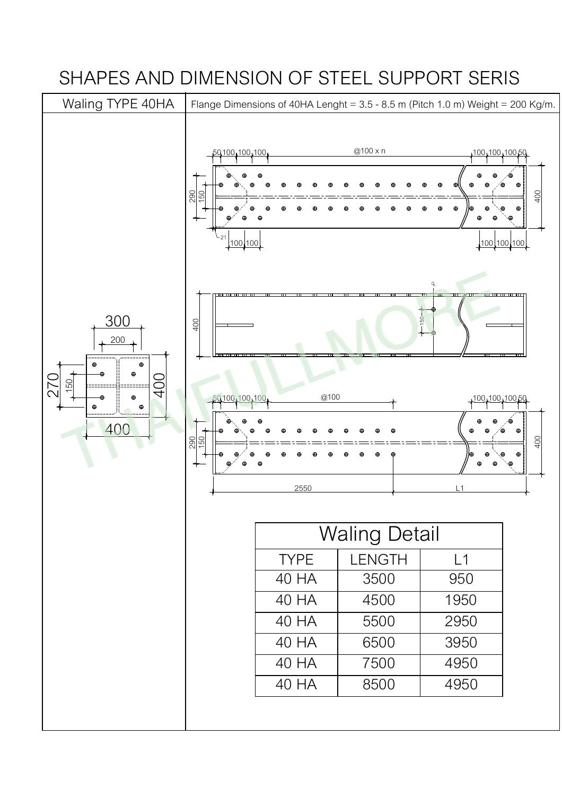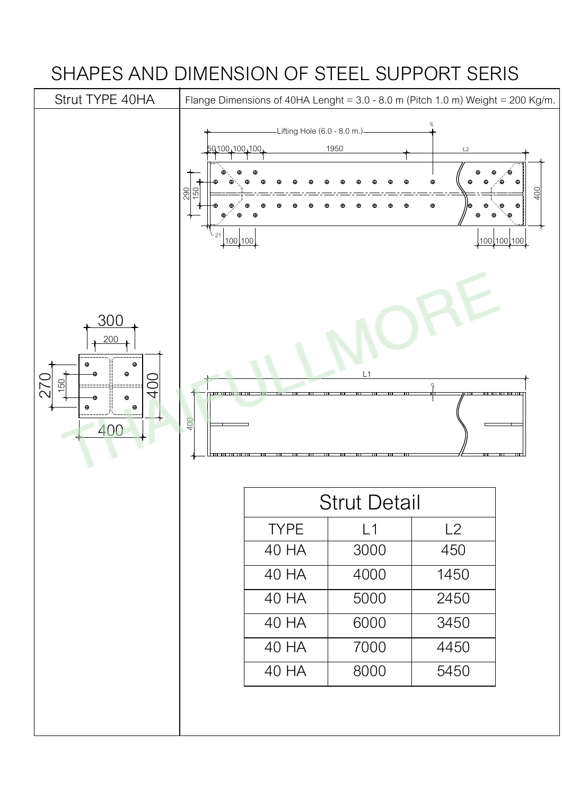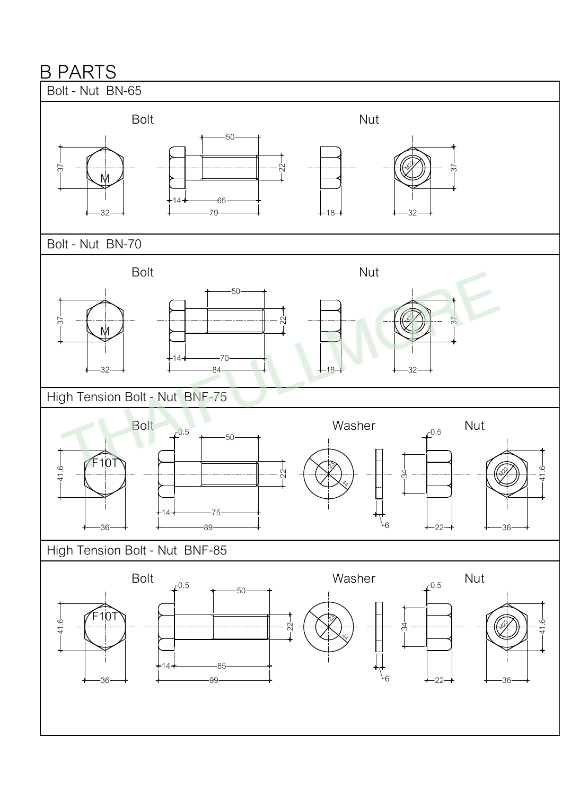#### B PARTS

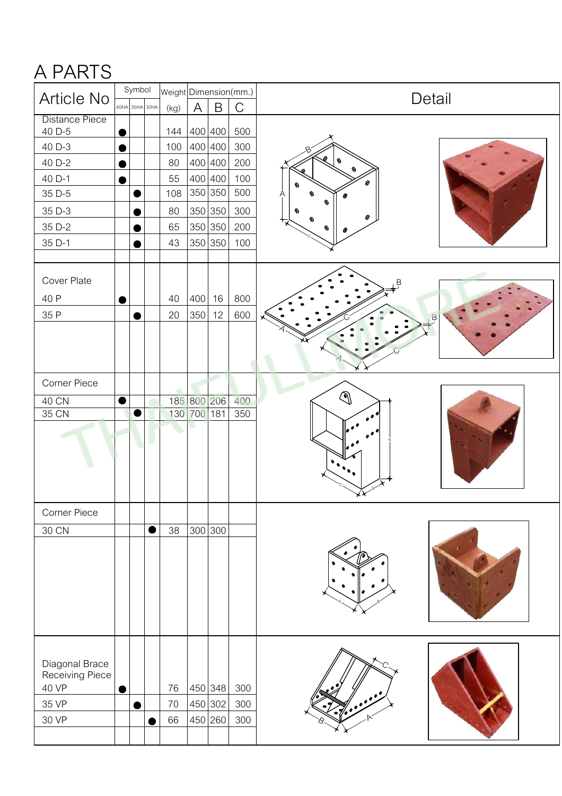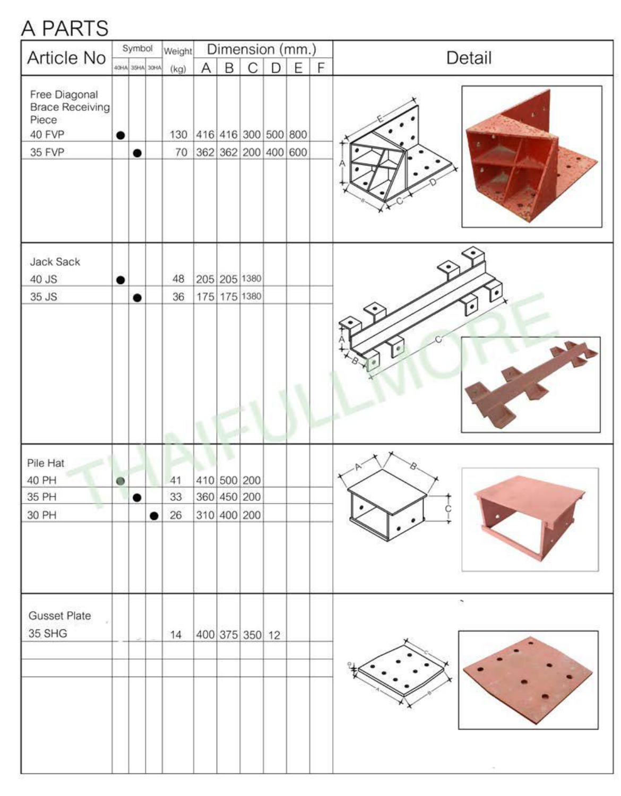#### A PARTS

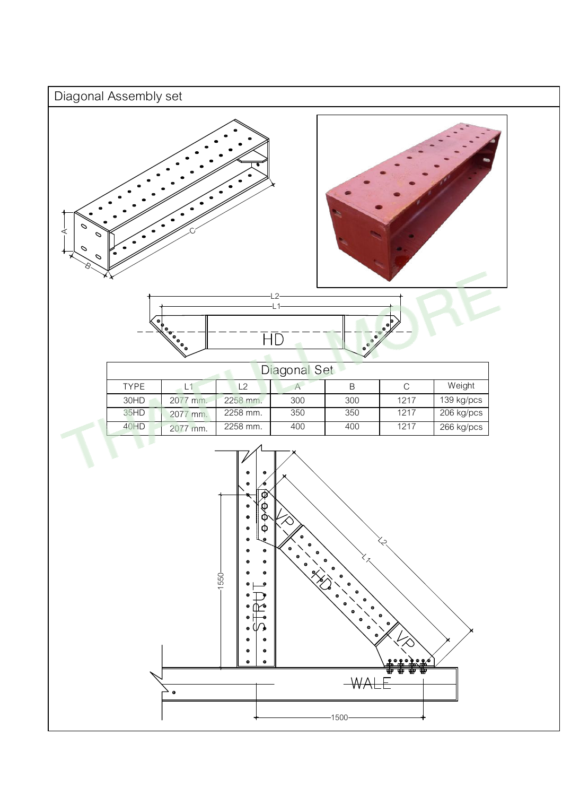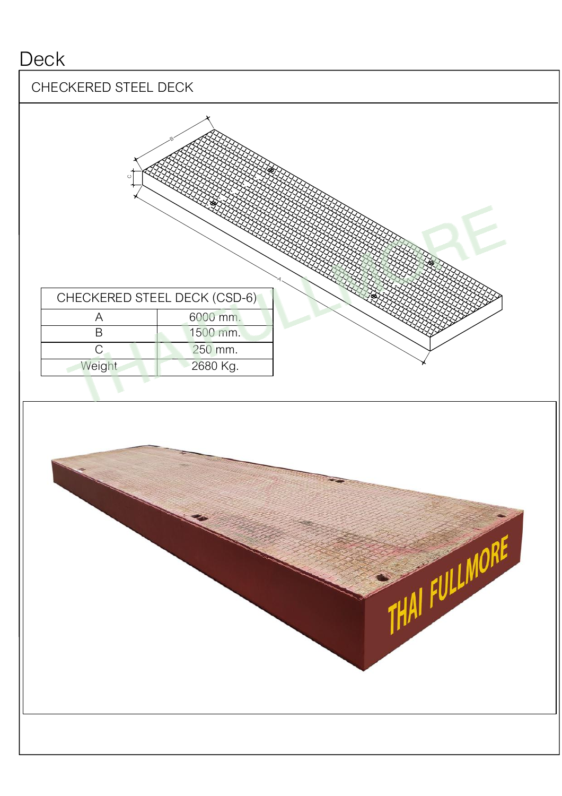#### **Deck**

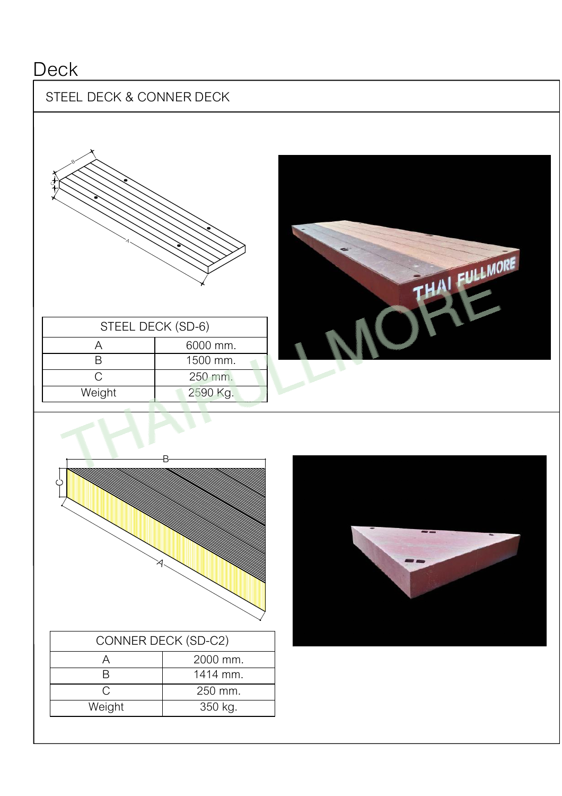## **Deck**

#### STEEL DECK & CONNER DECK



| OTLLL DLVN (OD-0) |          |
|-------------------|----------|
|                   | 6000 mm. |
|                   | 1500 mm. |
|                   | 250 mm.  |
| Weight            | 2590 Kg. |
|                   |          |





| CONNER DECK (SD-C2) |          |
|---------------------|----------|
|                     | 2000 mm. |
|                     | 1414 mm. |
| ◠                   | 250 mm.  |
| Weight              | 350 kg.  |
|                     |          |

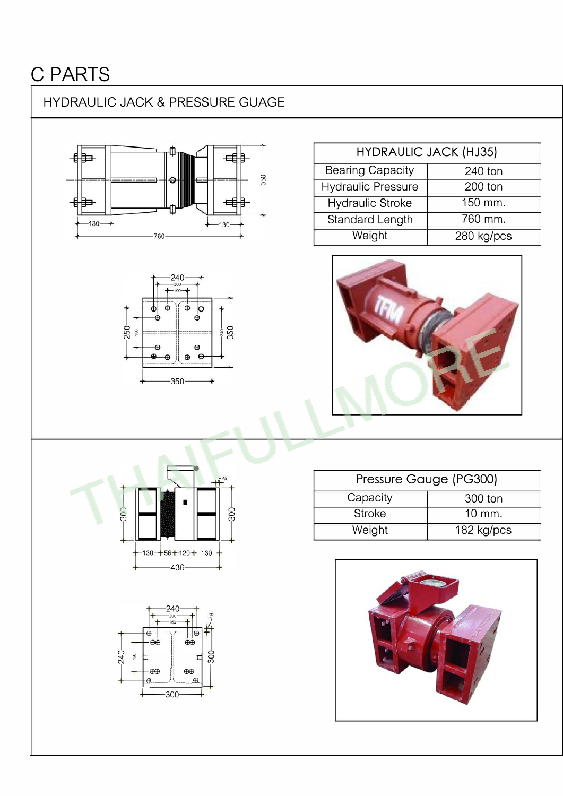# **C PARTS**

#### HYDRAULIC JACK & PRESSURE GUAGE





| <b>HYDRAULIC JACK (HJ35)</b> |            |
|------------------------------|------------|
| <b>Bearing Capacity</b>      | 240 ton    |
| <b>Hydraulic Pressure</b>    | $200$ ton  |
| <b>Hydraulic Stroke</b>      | 150 mm.    |
| Standard Length              | 760 mm.    |
| Weight                       | 280 kg/pcs |



| Pressure Gauge (PG300) |            |  |
|------------------------|------------|--|
| Capacity               | 300 ton    |  |
| <b>Stroke</b>          | 10 mm.     |  |
| Weight                 | 182 kg/pcs |  |





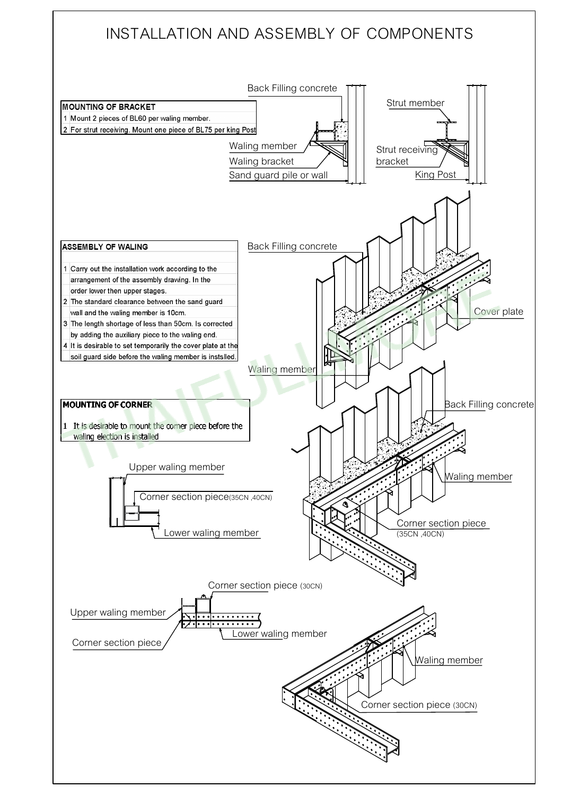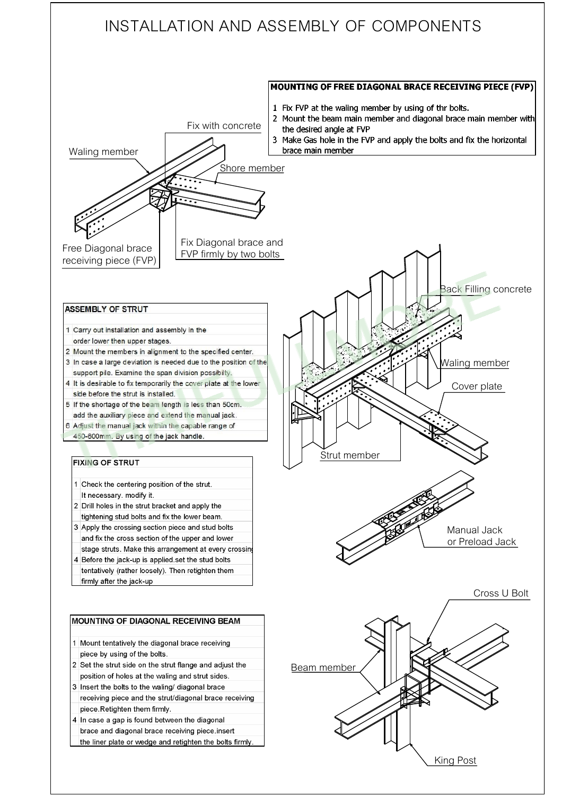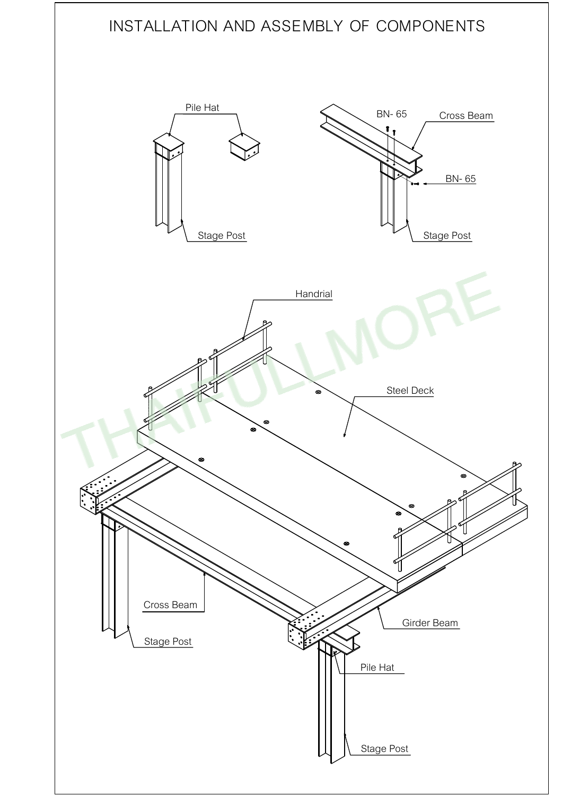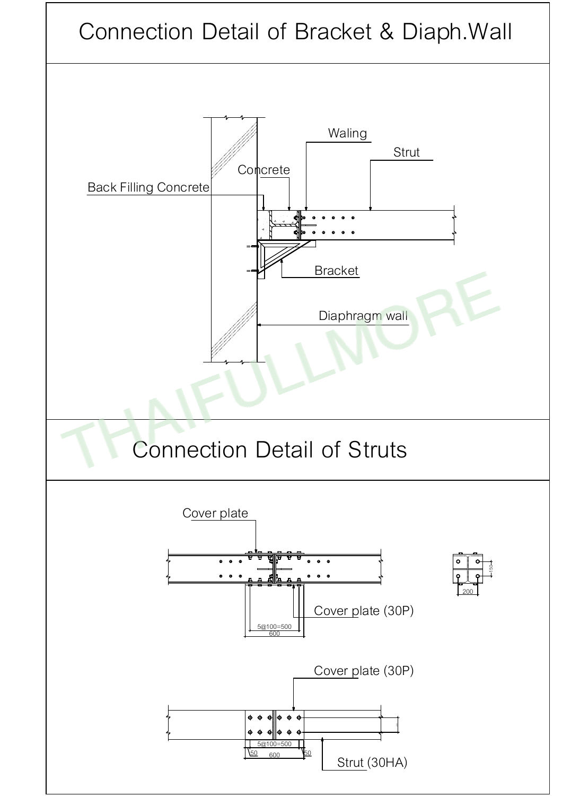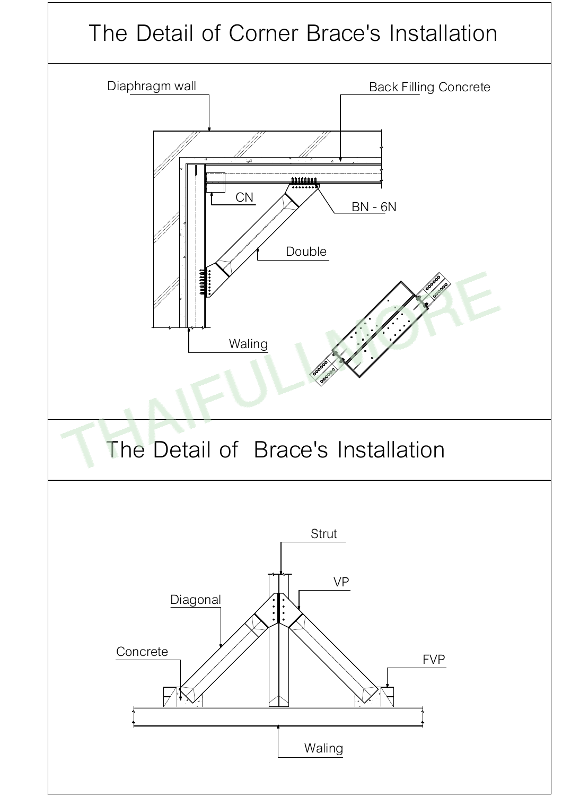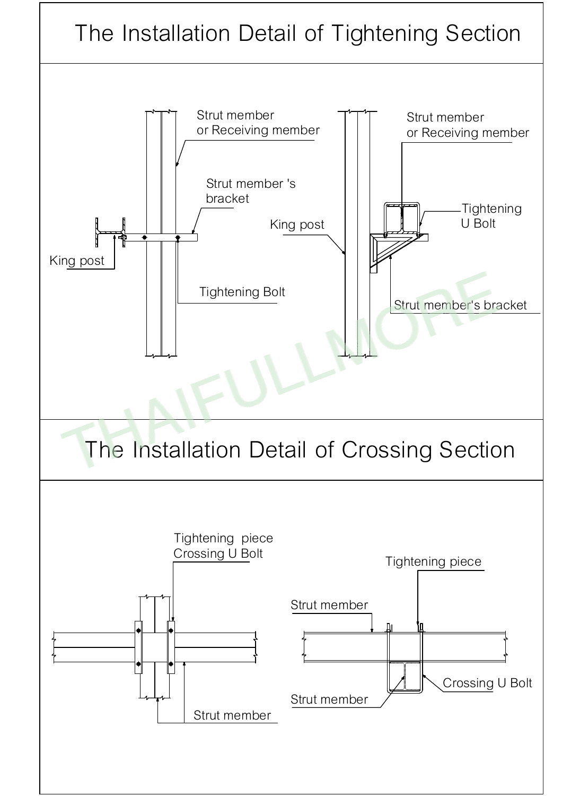